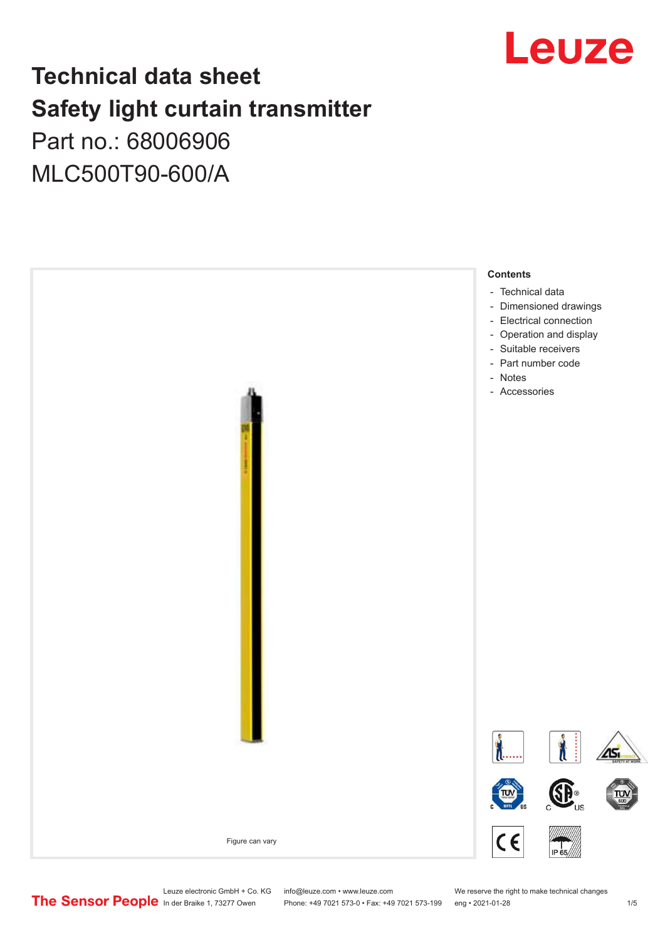

# **Technical data sheet Safety light curtain transmitter** Part no.: 68006906

MLC500T90-600/A



Leuze electronic GmbH + Co. KG info@leuze.com • www.leuze.com We reserve the right to make technical changes<br>
The Sensor People in der Braike 1, 73277 Owen Phone: +49 7021 573-0 • Fax: +49 7021 573-199 eng • 2021-01-28

Phone: +49 7021 573-0 • Fax: +49 7021 573-199 eng • 2021-01-28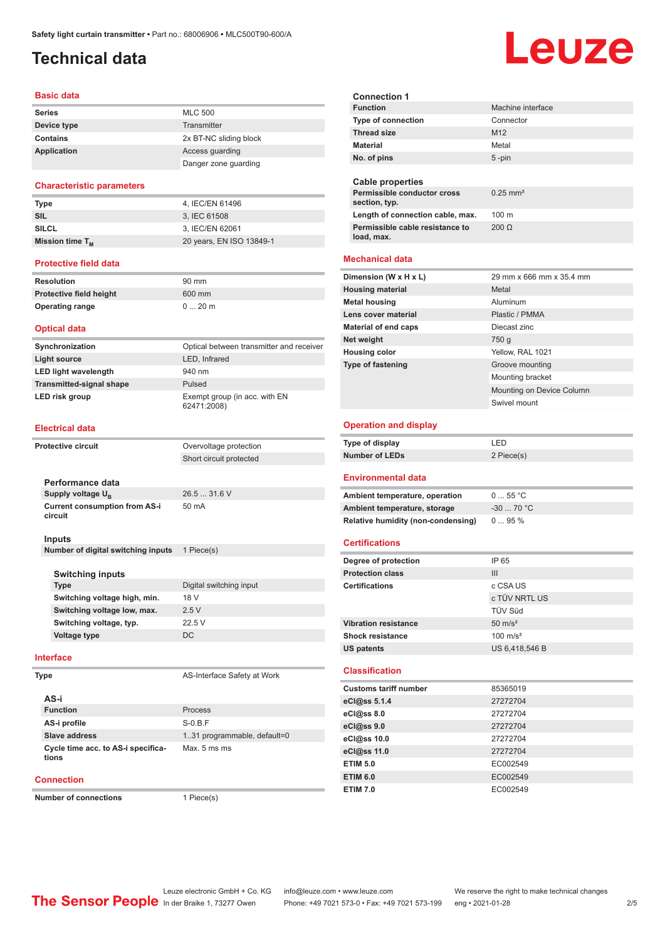# <span id="page-1-0"></span>**Technical data**

#### **Basic data**

| <b>Series</b>      | <b>MLC 500</b>         |
|--------------------|------------------------|
| Device type        | Transmitter            |
| <b>Contains</b>    | 2x BT-NC sliding block |
| <b>Application</b> | Access guarding        |
|                    | Danger zone guarding   |

#### **Characteristic parameters**

| <b>Type</b>          | 4. IEC/EN 61496          |
|----------------------|--------------------------|
| <b>SIL</b>           | 3. IEC 61508             |
| <b>SILCL</b>         | 3. IEC/EN 62061          |
| Mission time $T_{M}$ | 20 years, EN ISO 13849-1 |

#### **Protective field data**

| Resolution              | 90 mm   |
|-------------------------|---------|
| Protective field height | 600 mm  |
| <b>Operating range</b>  | $020$ m |

#### **Optical data**

| Synchronization                 | Optical between transmitter and receiver     |
|---------------------------------|----------------------------------------------|
| Light source                    | LED, Infrared                                |
| <b>LED light wavelength</b>     | 940 nm                                       |
| <b>Transmitted-signal shape</b> | Pulsed                                       |
| LED risk group                  | Exempt group (in acc. with EN<br>62471:2008) |

#### **Electrical data**

| <b>Protective circuit</b> |                                                 | Overvoltage protection  |  |
|---------------------------|-------------------------------------------------|-------------------------|--|
|                           |                                                 | Short circuit protected |  |
|                           |                                                 |                         |  |
|                           | Performance data                                |                         |  |
|                           | Supply voltage $U_{\rm B}$                      | $26.531.6$ V            |  |
|                           | <b>Current consumption from AS-i</b><br>circuit | $50 \text{ mA}$         |  |
|                           | Inputs                                          |                         |  |
|                           | Number of digital switching inputs              | 1 Piece(s)              |  |
|                           |                                                 |                         |  |

| <b>Switching inputs</b>      |                         |  |  |
|------------------------------|-------------------------|--|--|
| <b>Type</b>                  | Digital switching input |  |  |
| Switching voltage high, min. | 18 V                    |  |  |
| Switching voltage low, max.  | 2.5V                    |  |  |
| Switching voltage, typ.      | 22.5V                   |  |  |
| Voltage type                 | DC.                     |  |  |
|                              |                         |  |  |

#### **Interface**

| /pe  |  |  |  |
|------|--|--|--|
| AS-i |  |  |  |

**Type** AS-Interface Safety at Work

| AS-i                                        |                              |
|---------------------------------------------|------------------------------|
| <b>Function</b>                             | Process                      |
| AS-i profile                                | $S-0.B.F$                    |
| Slave address                               | 1.31 programmable, default=0 |
| Cycle time acc. to AS-i specifica-<br>tions | Max. 5 ms ms                 |

#### **Connection**

**Number of connections** 1 Piece(s)

Leuze

| <b>Function</b>                               | Machine interface         |
|-----------------------------------------------|---------------------------|
| Type of connection                            | Connector                 |
| <b>Thread size</b>                            | M12                       |
| Material                                      | Metal                     |
| No. of pins                                   | $5 - pin$                 |
|                                               |                           |
| <b>Cable properties</b>                       |                           |
| Permissible conductor cross                   | $0.25$ mm <sup>2</sup>    |
| section, typ.                                 |                           |
| Length of connection cable, max.              | 100 <sub>m</sub>          |
| Permissible cable resistance to<br>load, max. | $200 \Omega$              |
|                                               |                           |
| <b>Mechanical data</b>                        |                           |
| Dimension (W x H x L)                         | 29 mm x 666 mm x 35.4 mm  |
| <b>Housing material</b>                       | Metal                     |
| <b>Metal housing</b>                          | Aluminum                  |
| Lens cover material                           | Plastic / PMMA            |
| <b>Material of end caps</b>                   | Diecast zinc              |
| Net weight                                    | 750 g                     |
| <b>Housing color</b>                          | Yellow, RAL 1021          |
| <b>Type of fastening</b>                      | Groove mounting           |
|                                               | Mounting bracket          |
|                                               | Mounting on Device Column |
|                                               | Swivel mount              |
|                                               |                           |
| <b>Operation and display</b>                  |                           |
| Type of display                               | LED                       |
| <b>Number of LEDs</b>                         | 2 Piece(s)                |
|                                               |                           |
|                                               |                           |
| <b>Environmental data</b>                     |                           |
| Ambient temperature, operation                | 055 °C                    |
| Ambient temperature, storage                  | $-30$ 70 °C               |
| <b>Relative humidity (non-condensing)</b>     | 095%                      |
|                                               |                           |
| <b>Certifications</b>                         |                           |
| Degree of protection                          | IP 65                     |
| <b>Protection class</b>                       | III                       |
| <b>Certifications</b>                         | c CSA US                  |
|                                               | c TÜV NRTL US             |
|                                               | TÜV Süd                   |
| <b>Vibration resistance</b>                   | $50 \text{ m/s}^2$        |
| <b>Shock resistance</b>                       | $100 \text{ m/s}^2$       |
| <b>US patents</b>                             | US 6,418,546 B            |
|                                               |                           |
| <b>Classification</b>                         |                           |
| <b>Customs tariff number</b>                  | 85365019                  |
| eCl@ss 5.1.4                                  | 27272704                  |
| eCl@ss 8.0                                    | 27272704                  |
| eCl@ss 9.0                                    | 27272704                  |
| eCl@ss 10.0                                   | 27272704                  |
| eCl@ss 11.0                                   | 27272704                  |
| <b>ETIM 5.0</b>                               | EC002549                  |
| <b>ETIM 6.0</b>                               | EC002549                  |
| <b>ETIM 7.0</b>                               | EC002549                  |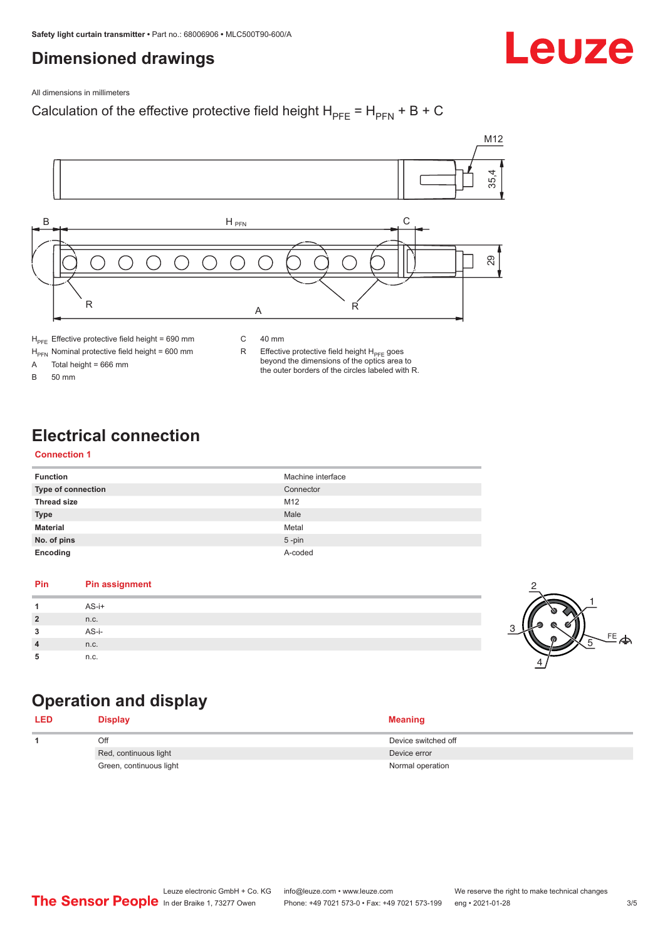# <span id="page-2-0"></span>**Dimensioned drawings**

# Leuze

All dimensions in millimeters

## Calculation of the effective protective field height  $H_{PFE} = H_{PFN} + B + C$



 $H_{\text{PFN}}$  Nominal protective field height = 600 mm<br>A Total height = 666 mm

Total height =  $666$  mm

B 50 mm

R Effective protective field height  $H_{PFE}$  goes beyond the dimensions of the optics area to the outer borders of the circles labeled with R.

# **Electrical connection**

#### **Connection 1**

| <b>Function</b>    | Machine interface |
|--------------------|-------------------|
| Type of connection | Connector         |
| <b>Thread size</b> | M12               |
| <b>Type</b>        | Male              |
| <b>Material</b>    | Metal             |
| No. of pins        | $5$ -pin          |
| Encoding           | A-coded           |

#### **Pin Pin assignment 1** AS-i+ **2** n.c. **3** AS-i-**4** n.c. **5** n.c.



# **Operation and display**

| <b>LED</b> | <b>Display</b>          | <b>Meaning</b>      |
|------------|-------------------------|---------------------|
|            | Off                     | Device switched off |
|            | Red, continuous light   | Device error        |
|            | Green, continuous light | Normal operation    |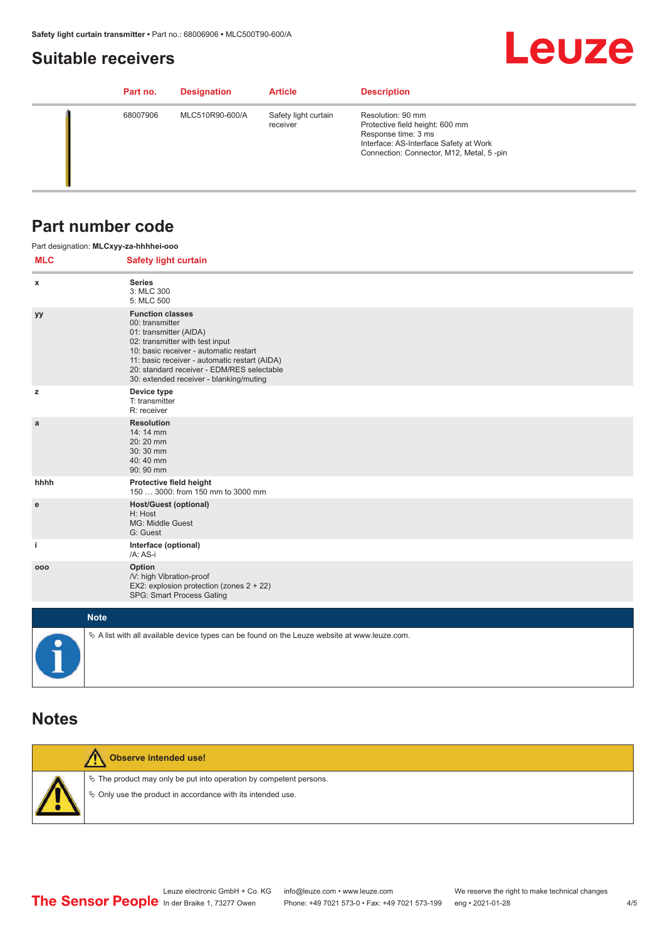## <span id="page-3-0"></span>**Suitable receivers**

# **Leuze**

| Part no. | <b>Designation</b> | <b>Article</b>                   | <b>Description</b>                                                                                                                                                |
|----------|--------------------|----------------------------------|-------------------------------------------------------------------------------------------------------------------------------------------------------------------|
| 68007906 | MLC510R90-600/A    | Safety light curtain<br>receiver | Resolution: 90 mm<br>Protective field height: 600 mm<br>Response time: 3 ms<br>Interface: AS-Interface Safety at Work<br>Connection: Connector, M12, Metal, 5-pin |

## **Part number code**

|             | Part designation: MLCxyy-za-hhhhei-ooo                                                                                                                                                                                                                                                      |
|-------------|---------------------------------------------------------------------------------------------------------------------------------------------------------------------------------------------------------------------------------------------------------------------------------------------|
| <b>MLC</b>  | <b>Safety light curtain</b>                                                                                                                                                                                                                                                                 |
| $\mathbf x$ | <b>Series</b><br>3: MLC 300<br>5: MLC 500                                                                                                                                                                                                                                                   |
| yy          | <b>Function classes</b><br>00: transmitter<br>01: transmitter (AIDA)<br>02: transmitter with test input<br>10: basic receiver - automatic restart<br>11: basic receiver - automatic restart (AIDA)<br>20: standard receiver - EDM/RES selectable<br>30: extended receiver - blanking/muting |
| z           | Device type<br>T: transmitter<br>R: receiver                                                                                                                                                                                                                                                |
| a           | <b>Resolution</b><br>14:14 mm<br>20:20 mm<br>30:30 mm<br>40:40 mm<br>90: 90 mm                                                                                                                                                                                                              |
| hhhh        | Protective field height<br>150  3000: from 150 mm to 3000 mm                                                                                                                                                                                                                                |
| e           | <b>Host/Guest (optional)</b><br>H: Host<br>MG: Middle Guest<br>G: Guest                                                                                                                                                                                                                     |
| j.          | Interface (optional)<br>/A: AS-i                                                                                                                                                                                                                                                            |
| 000         | Option<br>/V: high Vibration-proof<br>EX2: explosion protection (zones 2 + 22)<br>SPG: Smart Process Gating                                                                                                                                                                                 |
|             | <b>Note</b>                                                                                                                                                                                                                                                                                 |
|             | $\&$ A list with all available device types can be found on the Leuze website at www.leuze.com.                                                                                                                                                                                             |

### **Notes**

| Observe intended use!                                                                                                                   |
|-----------------------------------------------------------------------------------------------------------------------------------------|
| $\&$ The product may only be put into operation by competent persons.<br>$\&$ Only use the product in accordance with its intended use. |